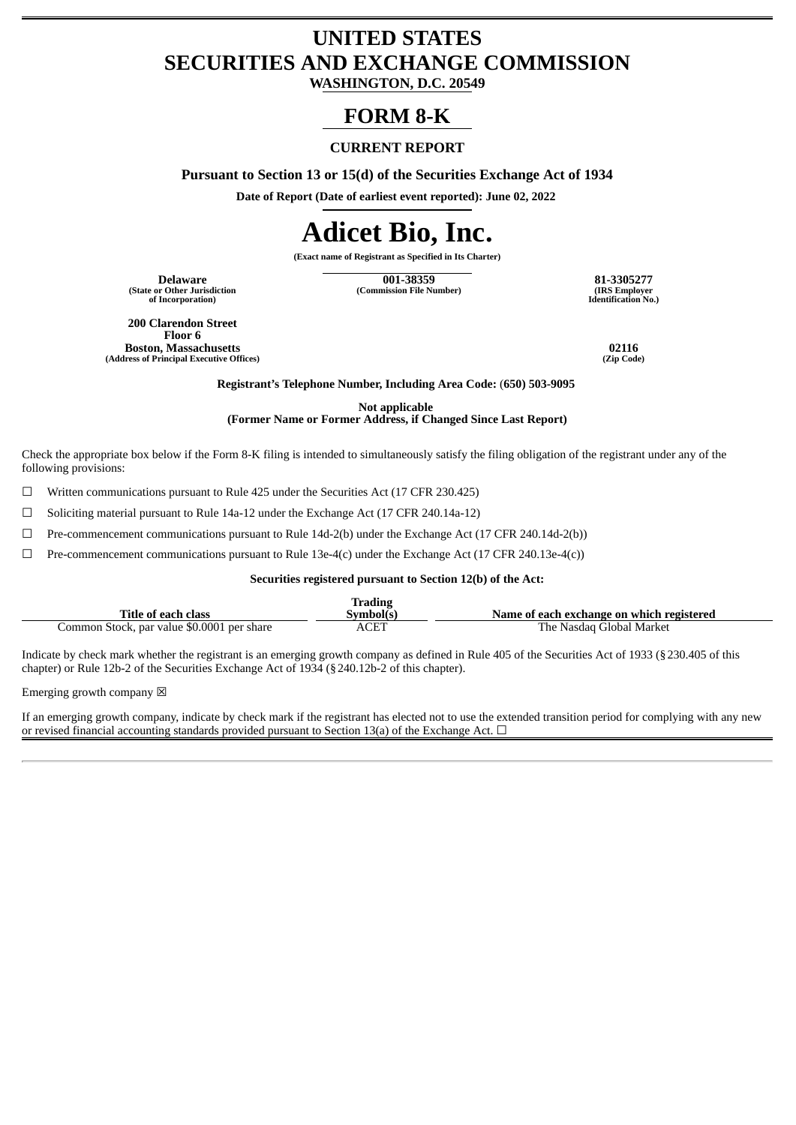## **UNITED STATES SECURITIES AND EXCHANGE COMMISSION**

**WASHINGTON, D.C. 20549**

### **FORM 8-K**

#### **CURRENT REPORT**

**Pursuant to Section 13 or 15(d) of the Securities Exchange Act of 1934**

**Date of Report (Date of earliest event reported): June 02, 2022**

# **Adicet Bio, Inc.**

**(Exact name of Registrant as Specified in Its Charter)**

**(State or Other Jurisdiction of Incorporation)**

**Delaware 001-38359 81-3305277 (Commission File Number) (IRS Employer**

**Identification No.)**

**200 Clarendon Street Floor 6 Boston, Massachusetts 02116 (Address of Principal Executive Offices)** 

**Registrant's Telephone Number, Including Area Code:** (**650) 503-9095**

**Not applicable**

**(Former Name or Former Address, if Changed Since Last Report)**

Check the appropriate box below if the Form 8-K filing is intended to simultaneously satisfy the filing obligation of the registrant under any of the following provisions:

☐ Written communications pursuant to Rule 425 under the Securities Act (17 CFR 230.425)

☐ Soliciting material pursuant to Rule 14a-12 under the Exchange Act (17 CFR 240.14a-12)

☐ Pre-commencement communications pursuant to Rule 14d-2(b) under the Exchange Act (17 CFR 240.14d-2(b))

 $\Box$  Pre-commencement communications pursuant to Rule 13e-4(c) under the Exchange Act (17 CFR 240.13e-4(c))

#### **Securities registered pursuant to Section 12(b) of the Act:**

|                                            | Trading   |                                           |
|--------------------------------------------|-----------|-------------------------------------------|
| Title of each class                        | Symbol(s) | Name of each exchange on which registered |
| Common Stock, par value \$0.0001 per share | ACET      | The Nasdag Global Market                  |

Indicate by check mark whether the registrant is an emerging growth company as defined in Rule 405 of the Securities Act of 1933 (§230.405 of this chapter) or Rule 12b-2 of the Securities Exchange Act of 1934 (§240.12b-2 of this chapter).

Emerging growth company  $\boxtimes$ 

If an emerging growth company, indicate by check mark if the registrant has elected not to use the extended transition period for complying with any new or revised financial accounting standards provided pursuant to Section 13(a) of the Exchange Act.  $\Box$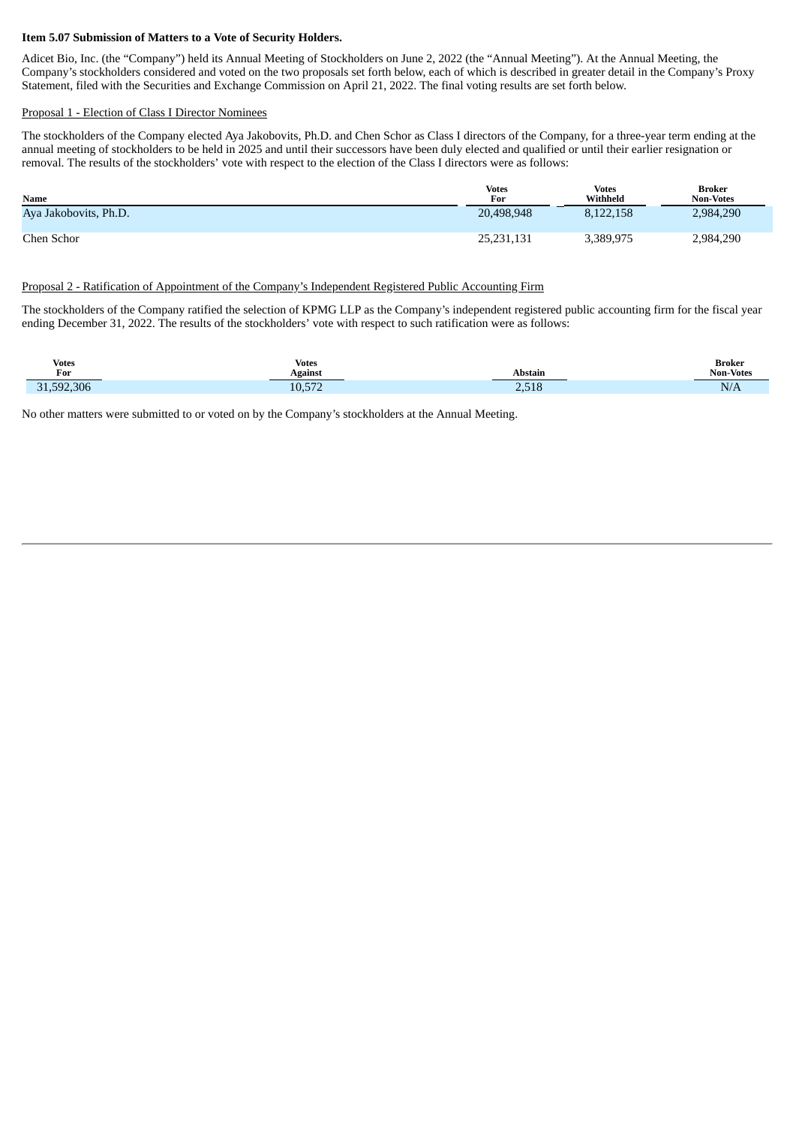#### **Item 5.07 Submission of Matters to a Vote of Security Holders.**

Adicet Bio, Inc. (the "Company") held its Annual Meeting of Stockholders on June 2, 2022 (the "Annual Meeting"). At the Annual Meeting, the Company's stockholders considered and voted on the two proposals set forth below, each of which is described in greater detail in the Company's Proxy Statement, filed with the Securities and Exchange Commission on April 21, 2022. The final voting results are set forth below.

#### Proposal 1 - Election of Class I Director Nominees

The stockholders of the Company elected Aya Jakobovits, Ph.D. and Chen Schor as Class I directors of the Company, for a three-year term ending at the annual meeting of stockholders to be held in 2025 and until their successors have been duly elected and qualified or until their earlier resignation or removal. The results of the stockholders' vote with respect to the election of the Class I directors were as follows:

| <b>Name</b>           | <b>Votes</b><br>For | Votes<br>Withheld | <b>Broker</b><br><b>Non-Votes</b> |
|-----------------------|---------------------|-------------------|-----------------------------------|
| Aya Jakobovits, Ph.D. | 20,498,948          | 8.122.158         | 2,984,290                         |
| Chen Schor            | 25,231,131          | 3,389,975         | 2,984,290                         |

#### Proposal 2 - Ratification of Appointment of the Company's Independent Registered Public Accounting Firm

The stockholders of the Company ratified the selection of KPMG LLP as the Company's independent registered public accounting firm for the fiscal year ending December 31, 2022. The results of the stockholders' vote with respect to such ratification were as follows:

| <b>Votes</b> | Votes   | <b>Abstain</b> | <b>Broker</b>    |
|--------------|---------|----------------|------------------|
| For          | Against |                | <b>Non-Votes</b> |
| 31,592,306   | 10,572  | 2,518          | N/A              |

No other matters were submitted to or voted on by the Company's stockholders at the Annual Meeting.